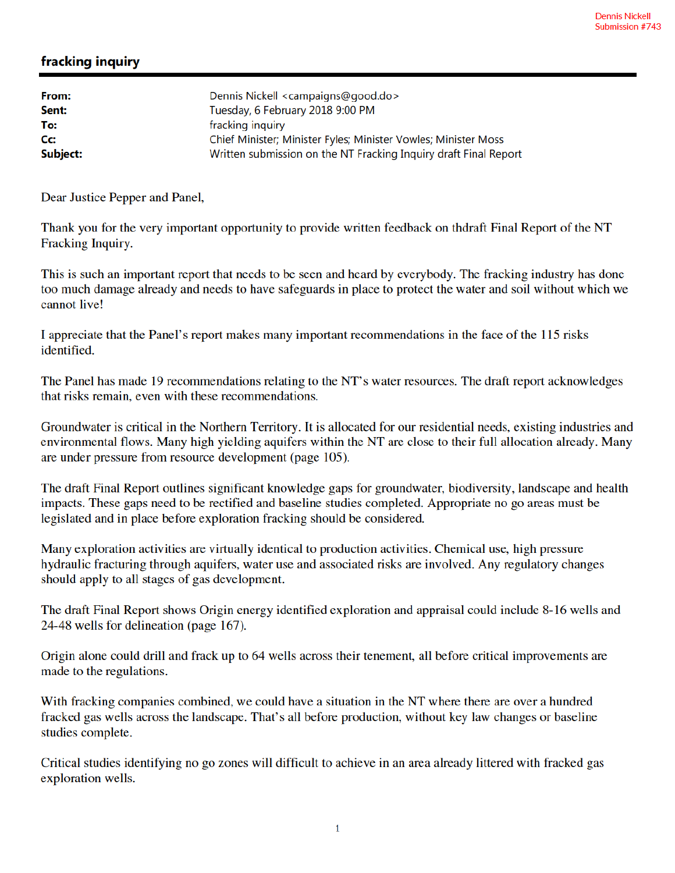## fracking inquiry

| Dennis Nickell <campaigns@good.do></campaigns@good.do>           |
|------------------------------------------------------------------|
| Tuesday, 6 February 2018 9:00 PM                                 |
| fracking inquiry                                                 |
| Chief Minister; Minister Fyles; Minister Vowles; Minister Moss   |
| Written submission on the NT Fracking Inquiry draft Final Report |
|                                                                  |

Dear Justice Pepper and Panel,

Thank you for the very important opportunity to provide written feedback on thdraft Final Report of the NT Fracking Inquiry.

This is such an important report that needs to be seen and heard by everybody. The fracking industry has done too much damage already and needs to have safeguards in place to protect the water and soil without which we cannot live!

I appreciate that the Panel's report makes many important recommendations in the face of the 115 risks identified.

The Panel has made 19 recommendations relating to the NT's water resources. The draft report acknowledges that risks remain, even with these recommendations.

Groundwater is critical in the Northern Territory. It is allocated for our residential needs, existing industries and environmental flows. Many high yielding aquifers within the NT are close to their full allocation already. Many are under pressure from resource development (page 105).

The draft Final Report outlines significant knowledge gaps for groundwater, biodiversity, landscape and health impacts. These gaps need to be rectified and baseline studies completed. Appropriate no go areas must be legislated and in place before exploration fracking should be considered.

Many exploration activities are virtually identical to production activities. Chemical use, high pressure hydraulic fracturing through aquifers, water use and associated risks are involved. Any regulatory changes should apply to all stages of gas development.

The draft Final Report shows Origin energy identified exploration and appraisal could include 8-16 wells and 24-48 wells for delineation (page 167).

Origin alone could drill and frack up to 64 wells across their tenement, all before critical improvements are made to the regulations.

With fracking companies combined, we could have a situation in the NT where there are over a hundred fracked gas wells across the landscape. That's all before production, without key law changes or baseline studies complete.

Critical studies identifying no go zones will difficult to achieve in an area already littered with fracked gas exploration wells.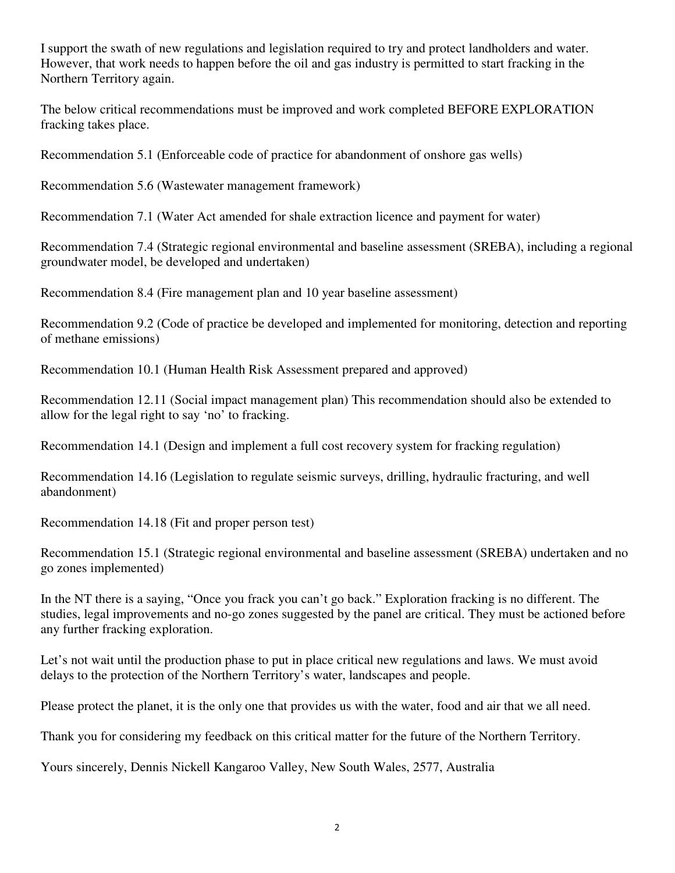I support the swath of new regulations and legislation required to try and protect landholders and water. However, that work needs to happen before the oil and gas industry is permitted to start fracking in the Northern Territory again.

The below critical recommendations must be improved and work completed BEFORE EXPLORATION fracking takes place.

Recommendation 5.1 (Enforceable code of practice for abandonment of onshore gas wells)

Recommendation 5.6 (Wastewater management framework)

Recommendation 7.1 (Water Act amended for shale extraction licence and payment for water)

Recommendation 7.4 (Strategic regional environmental and baseline assessment (SREBA), including a regional groundwater model, be developed and undertaken)

Recommendation 8.4 (Fire management plan and 10 year baseline assessment)

Recommendation 9.2 (Code of practice be developed and implemented for monitoring, detection and reporting of methane emissions)

Recommendation 10.1 (Human Health Risk Assessment prepared and approved)

Recommendation 12.11 (Social impact management plan) This recommendation should also be extended to allow for the legal right to say 'no' to fracking.

Recommendation 14.1 (Design and implement a full cost recovery system for fracking regulation)

Recommendation 14.16 (Legislation to regulate seismic surveys, drilling, hydraulic fracturing, and well abandonment)

Recommendation 14.18 (Fit and proper person test)

Recommendation 15.1 (Strategic regional environmental and baseline assessment (SREBA) undertaken and no go zones implemented)

In the NT there is a saying, "Once you frack you can't go back." Exploration fracking is no different. The studies, legal improvements and no-go zones suggested by the panel are critical. They must be actioned before any further fracking exploration.

Let's not wait until the production phase to put in place critical new regulations and laws. We must avoid delays to the protection of the Northern Territory's water, landscapes and people.

Please protect the planet, it is the only one that provides us with the water, food and air that we all need.

Thank you for considering my feedback on this critical matter for the future of the Northern Territory.

Yours sincerely, Dennis Nickell Kangaroo Valley, New South Wales, 2577, Australia